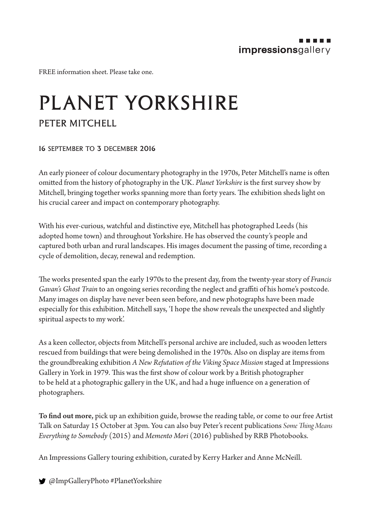FREE information sheet. Please take one.

## PLANET YORKSHIRE PETER MITCHELL

## 16 september to 3 december 2016

An early pioneer of colour documentary photography in the 1970s, Peter Mitchell's name is often omitted from the history of photography in the UK. *Planet Yorkshire* is the first survey show by Mitchell, bringing together works spanning more than forty years. The exhibition sheds light on his crucial career and impact on contemporary photography.

With his ever-curious, watchful and distinctive eye, Mitchell has photographed Leeds (his adopted home town) and throughout Yorkshire. He has observed the county's people and captured both urban and rural landscapes. His images document the passing of time, recording a cycle of demolition, decay, renewal and redemption.

The works presented span the early 1970s to the present day, from the twenty-year story of *Francis Gavan's Ghost Train* to an ongoing series recording the neglect and graffiti of his home's postcode. Many images on display have never been seen before, and new photographs have been made especially for this exhibition. Mitchell says, 'I hope the show reveals the unexpected and slightly spiritual aspects to my work'.

As a keen collector, objects from Mitchell's personal archive are included, such as wooden letters rescued from buildings that were being demolished in the 1970s. Also on display are items from the groundbreaking exhibition *A New Refutation of the Viking Space Mission* staged at Impressions Gallery in York in 1979. This was the first show of colour work by a British photographer to be held at a photographic gallery in the UK, and had a huge influence on a generation of photographers.

To find out more, pick up an exhibition guide, browse the reading table, or come to our free Artist Talk on Saturday 15 October at 3pm. You can also buy Peter's recent publications *Some Thing Means Everything to Somebody* (2015) and *Memento Mori* (2016) published by RRB Photobooks.

An Impressions Gallery touring exhibition, curated by Kerry Harker and Anne McNeill.

@ImpGalleryPhoto #PlanetYorkshire